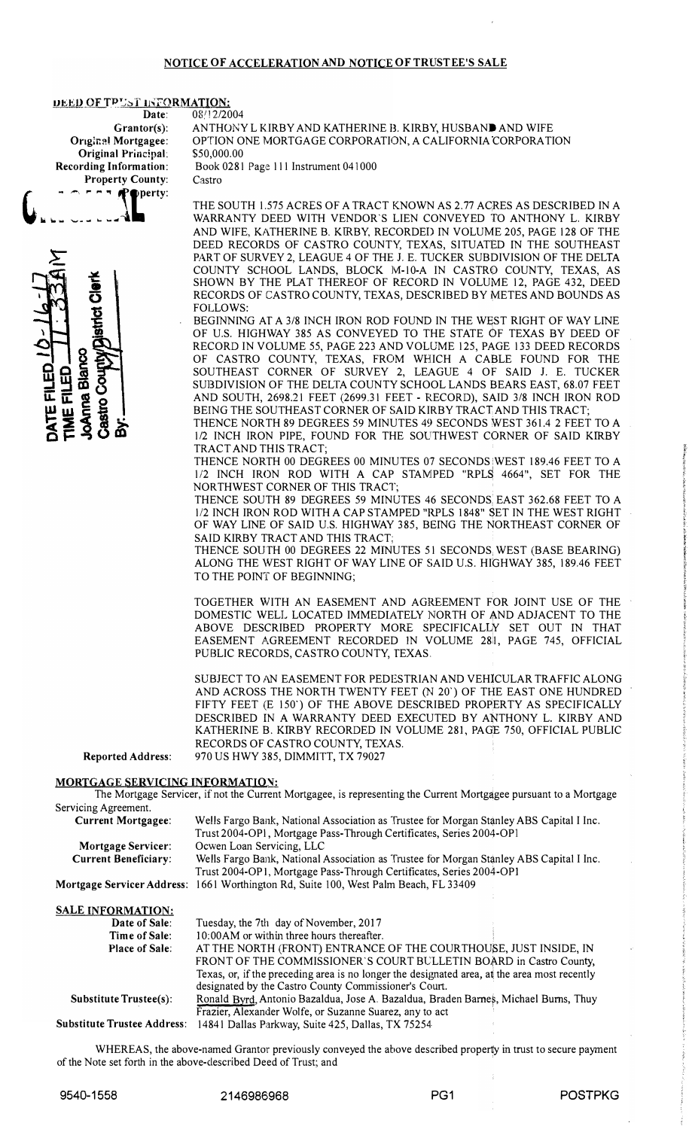### NOTICE OF ACCELERATION AND NOTICE OF TRUSTEE'S SALE

#### DEED OF TPUST INFORMATION:

Date: Grantor(s): **Original Mortgagee:** Original Principal: **Recording Information: Property County:**  $P - P - P$ Poperty:

**listrict Clark OAnna Blanco** County **TEFILED** ME FILED Castro 08/12/2004 ANTHONY L KIRBY AND KATHERINE B. KIRBY, HUSBAND AND WIFE OPTION ONE MORTGAGE CORPORATION, A CALIFORNIA CORPORATION \$50,000.00 Book 0281 Page 111 Instrument 041000

Castro

THE SOUTH 1.575 ACRES OF A TRACT KNOWN AS 2.77 ACRES AS DESCRIBED IN A WARRANTY DEED WITH VENDOR'S LIEN CONVEYED TO ANTHONY L. KIRBY AND WIFE, KATHERINE B. KIRBY, RECORDED IN VOLUME 205, PAGE 128 OF THE DEED RECORDS OF CASTRO COUNTY, TEXAS, SITUATED IN THE SOUTHEAST PART OF SURVEY 2, LEAGUE 4 OF THE J. E. TUCKER SUBDIVISION OF THE DELTA COUNTY SCHOOL LANDS, BLOCK M-10-A IN CASTRO COUNTY, TEXAS, AS SHOWN BY THE PLAT THEREOF OF RECORD IN VOLUME 12, PAGE 432, DEED RECORDS OF CASTRO COUNTY, TEXAS, DESCRIBED BY METES AND BOUNDS AS **FOLLOWS:** 

BEGINNING AT A 3/8 INCH IRON ROD FOUND IN THE WEST RIGHT OF WAY LINE OF U.S. HIGHWAY 385 AS CONVEYED TO THE STATE OF TEXAS BY DEED OF RECORD IN VOLUME 55, PAGE 223 AND VOLUME 125, PAGE 133 DEED RECORDS OF CASTRO COUNTY, TEXAS, FROM WHICH A CABLE FOUND FOR THE SOUTHEAST CORNER OF SURVEY 2, LEAGUE 4 OF SAID J. E. TUCKER SUBDIVISION OF THE DELTA COUNTY SCHOOL LANDS BEARS EAST, 68.07 FEET AND SOUTH, 2698.21 FEET (2699.31 FEET - RECORD), SAID 3/8 INCH IRON ROD BEING THE SOUTHEAST CORNER OF SAID KIRBY TRACT AND THIS TRACT;

THENCE NORTH 89 DEGREES 59 MINUTES 49 SECONDS WEST 361.4 2 FEET TO A 1/2 INCH IRON PIPE, FOUND FOR THE SOUTHWEST CORNER OF SAID KIRBY TRACT AND THIS TRACT;

THENCE NORTH 00 DEGREES 00 MINUTES 07 SECONDS WEST 189.46 FEET TO A 1/2 INCH IRON ROD WITH A CAP STAMPED "RPLS 4664", SET FOR THE NORTHWEST CORNER OF THIS TRACT;

THENCE SOUTH 89 DEGREES 59 MINUTES 46 SECONDS EAST 362.68 FEET TO A 1/2 INCH IRON ROD WITH A CAP STAMPED "RPLS 1848" SET IN THE WEST RIGHT OF WAY LINE OF SAID U.S. HIGHWAY 385, BEING THE NORTHEAST CORNER OF SAID KIRBY TRACT AND THIS TRACT;

THENCE SOUTH 00 DEGREES 22 MINUTES 51 SECONDS WEST (BASE BEARING) ALONG THE WEST RIGHT OF WAY LINE OF SAID U.S. HIGHWAY 385, 189.46 FEET TO THE POINT OF BEGINNING;

TOGETHER WITH AN EASEMENT AND AGREEMENT FOR JOINT USE OF THE DOMESTIC WELL LOCATED IMMEDIATELY NORTH OF AND ADJACENT TO THE ABOVE DESCRIBED PROPERTY MORE SPECIFICALLY SET OUT IN THAT EASEMENT AGREEMENT RECORDED IN VOLUME 28 , PAGE 745, OFFICIAL PUBLIC RECORDS, CASTRO COUNTY, TEXAS.

SUBJECT TO AN EASEMENT FOR PEDESTRIAN AND VEHICULAR TRAFFIC ALONG AND ACROSS THE NORTH TWENTY FEET (N 20') OF THE EAST ONE HUNDRED FIFTY FEET (E 150') OF THE ABOVE DESCRIBED PROPERTY AS SPECIFICALLY DESCRIBED IN A WARRANTY DEED EXECUTED BY ANTHONY L. KIRBY AND KATHERINE B. KIRBY RECORDED IN VOLUME 281, PAGE 750, OFFICIAL PUBLIC RECORDS OF CASTRO COUNTY, TEXAS. 970 US HWY 385, DIMMITT, TX 79027

## MORTGAGE SERVICING INFORMATION:

**Reported Address:** 

The Mortgage Servicer, if not the Current Mortgagee, is representing the Current Mortgagee pursuant to a Mortgage Servicing Agreement.

| <b>Current Mortgagee:</b>   | Wells Fargo Bank, National Association as Trustee for Morgan Stanley ABS Capital I Inc.     |  |
|-----------------------------|---------------------------------------------------------------------------------------------|--|
|                             | Trust 2004-OP1, Mortgage Pass-Through Certificates, Series 2004-OP1                         |  |
| <b>Mortgage Servicer:</b>   | Ocwen Loan Servicing, LLC                                                                   |  |
| <b>Current Beneficiary:</b> | Wells Fargo Bank, National Association as Trustee for Morgan Stanley ABS Capital I Inc.     |  |
|                             | Trust 2004-OP1, Mortgage Pass-Through Certificates, Series 2004-OP1                         |  |
|                             | Mortgage Servicer Address: 1661 Worthington Rd, Suite 100, West Palm Beach, FL 33409        |  |
| <b>SALE INFORMATION:</b>    |                                                                                             |  |
| Date of Sale:               | Tuesday, the 7th day of November, 2017                                                      |  |
| Time of Sale:               | 10:00AM or within three hours thereafter.                                                   |  |
| <b>Place of Sale:</b>       | AT THE NORTH (FRONT) ENTRANCE OF THE COURTHOUSE, JUST INSIDE, IN                            |  |
|                             | FRONT OF THE COMMISSIONER'S COURT BULLETIN BOARD in Castro County,                          |  |
|                             | Texas, or if the preceding area is no longer the designated area, at the area most recently |  |

designated by the Castro County Commissioner's Court. Ronald Byrd, Antonio Bazaldua, Jose A. Bazaldua, Braden Barnes, Michael Burns, Thuy Substitute Trustee(s): Frazier, Alexander Wolfe, or Suzanne Suarez, any to act

Substitute Trustee Address: 14841 Dallas Parkway, Suite 425, Dallas, TX 75254

WHEREAS, the above-named Grantor previously conveyed the above described property in trust to secure payment of the Note set forth in the above-described Deed of Trust; and

9540-1558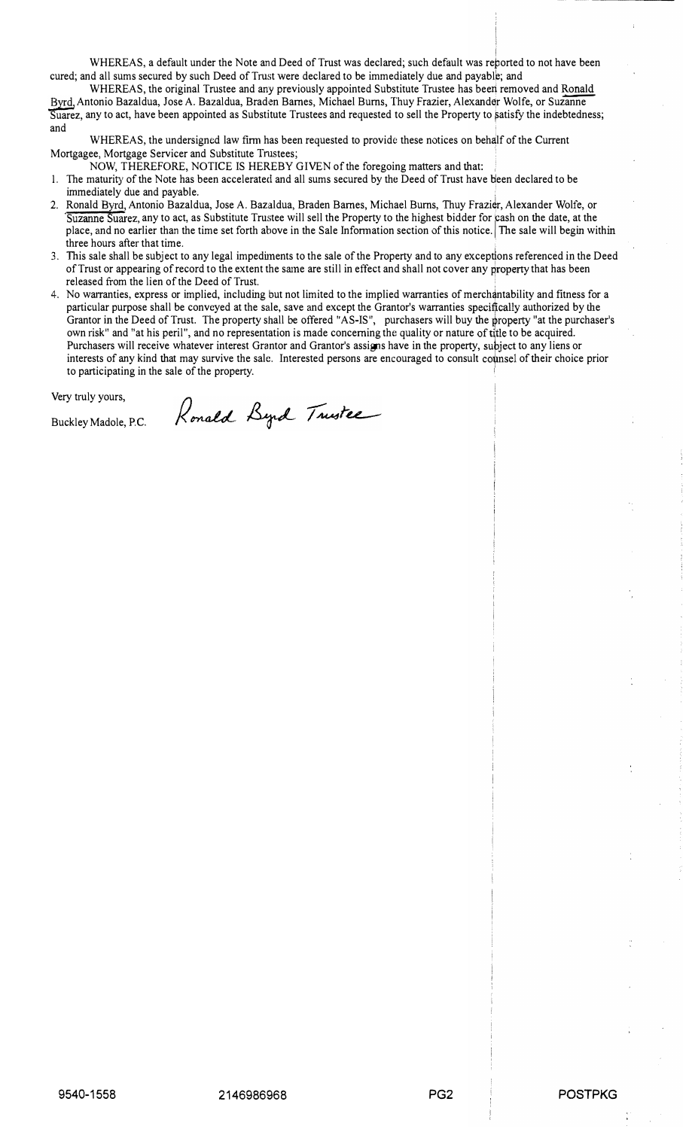I WHEREAS, a default under the Note and Deed of Trust was declared; such default was reported to not have been cured; and all sums secured by such Deed of Trust were declared to be immediately due and payabl�; and

WHEREAS, the original Trustee and any previously appointed Substitute Trustee has been removed and Ronald Byrd, Antonio Bazaldua, Jose A. Bazaldua, Braden Barnes, Michael Burns, Thuy Frazier, Alexander Wolfe, or Suzanne Suarez, any to act, have been appointed as Substitute Trustees and requested to sell the Property to satisfy the indebtedness; and

WHEREAS, the undersigned law firm has been requested to provide these notices on behalf of the Current Mortgagee, Mortgage Servicer and Substitute Trnstees;

NOW, THEREFORE, NOTICE IS HEREBY GIVEN of the foregoing matters and that:

Ronald Byrd Trustee

- 1. The maturity of the Note has been accelerated and all sums secured by the Deed of Trust have \ieen declared to be immediately due and payable.
- 2. Ronald Byrd, Antonio Bazaldua, Jose A. Bazaldua, Braden Barnes, Michael Burns, Thuy Frazier, Alexander Wolfe, or Suzanne Suarez, any to act, as Substitute Trustee will sell the Property to the highest bidder for cash on the date, at the<br>place, and no earlier than the time set forth above in the Sale Information section of this notice three hours after that time.
- 3. This sale shall be subject to any legal impediments to the sale of the Property and to any exceptions referenced in the Deed of Trust or appearing of record to the extent the same are still in effect and shall not cover any property that has been released from the lien of the Deed of Trust.
- express or implied, including but not limited to the implied warranties of merchantability and fitness for a 4. No warranties, express or implied, including but not limited to the implied warranties of merchantability and particular purpose shall be conveyed at the sale, save and except the Grantor's warranties specifically authorized by the Grantor in the Deed of Trust. The property shall be offered "AS-IS", purchasers will buy the property "at the purchaser's own risk" and "at his peril", and no representation is made concerning the quality or nature of title to be acquired. Purchasers will receive whatever interest Grantor and Grantor's assigns have in the property, subject to any liens or interests of any kind that may survive the sale. Interested persons are encouraged to consult counsel of their choice prior to participating in the sale of the property.

Very truly yours,

Buckley Madole, P.C.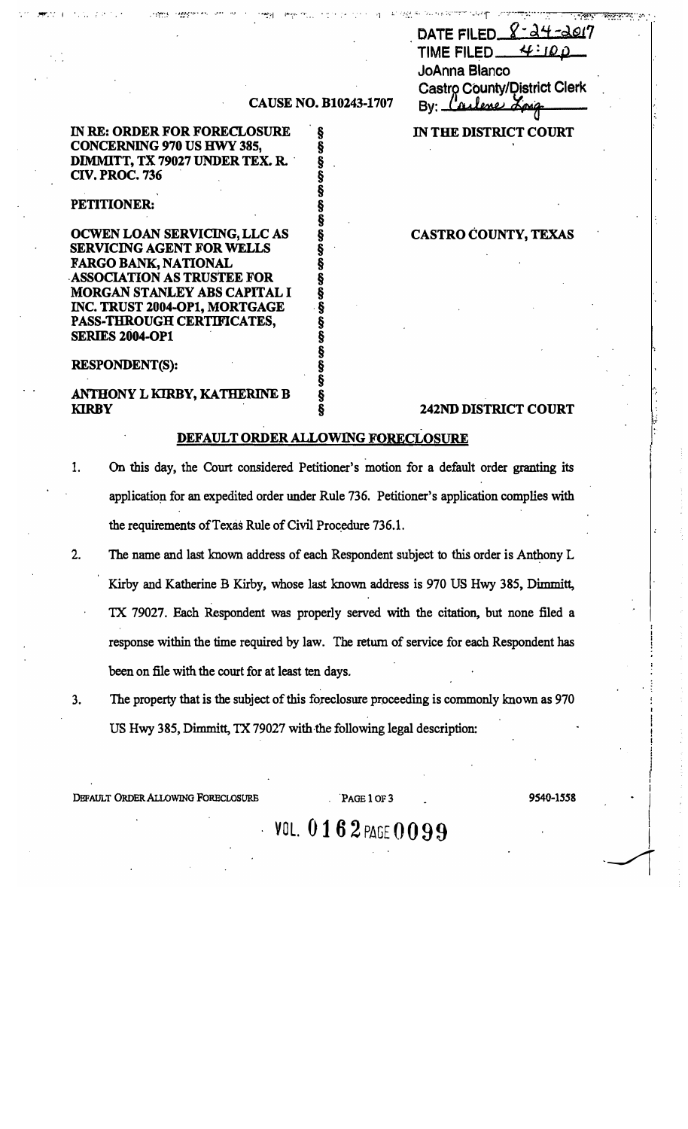|                                                  | DATE FILED $8 - 24 - 2017$ |  |  |
|--------------------------------------------------|----------------------------|--|--|
| TIME FILED $4:100$                               |                            |  |  |
| <b>JoAnna Blanco</b>                             |                            |  |  |
| Castro County/District Clerk<br>By: Carlene Long |                            |  |  |
|                                                  |                            |  |  |

IN THE DISTRICT COURT

ময়সম

 $7.597$ 

## **CAUSE NO. B10243-1707**

§

ş

Ş Š

§  $\tilde{\S}$ 

§

Š

Ş

Ş

§<br>§

Ş

Ş §

§

IN RE: ORDER FOR FORECLOSURE **CONCERNING 970 US HWY 385,** DIMMITT, TX 79027 UNDER TEX. R. **CIV. PROC. 736** 

## PETITIONER:

OCWEN LOAN SERVICING, LLC AS **SERVICING AGENT FOR WELLS FARGO BANK, NATIONAL ASSOCIATION AS TRUSTEE FOR** MORGAN STANLEY ABS CAPITAL I INC. TRUST 2004-OP1, MORTGAGE PASS-THROUGH CERTIFICATES, **SERIES 2004-OP1** 

### **RESPONDENT(S):**

ANTHONY L KIRBY, KATHERINE B **KIRBY** 

## **CASTRO COUNTY, TEXAS**

## **242ND DISTRICT COURT**

### DEFAULT ORDER ALLOWING FORECLOSURE

- 1. On this day, the Court considered Petitioner's motion for a default order granting its application for an expedited order under Rule 736. Petitioner's application complies with the requirements of Texas Rule of Civil Procedure 736.1.
- $2.$ The name and last known address of each Respondent subject to this order is Anthony L Kirby and Katherine B Kirby, whose last known address is 970 US Hwy 385, Dimmitt, TX 79027. Each Respondent was properly served with the citation, but none filed a response within the time required by law. The return of service for each Respondent has been on file with the court for at least ten days.
- $3.$ The property that is the subject of this foreclosure proceeding is commonly known as 970 US Hwy 385, Dimmitt, TX 79027 with the following legal description:

DEFAULT ORDER ALLOWING FORECLOSURE

### PAGE 1 OF 3

9540-1558

VOL.  $0162$  page  $0099$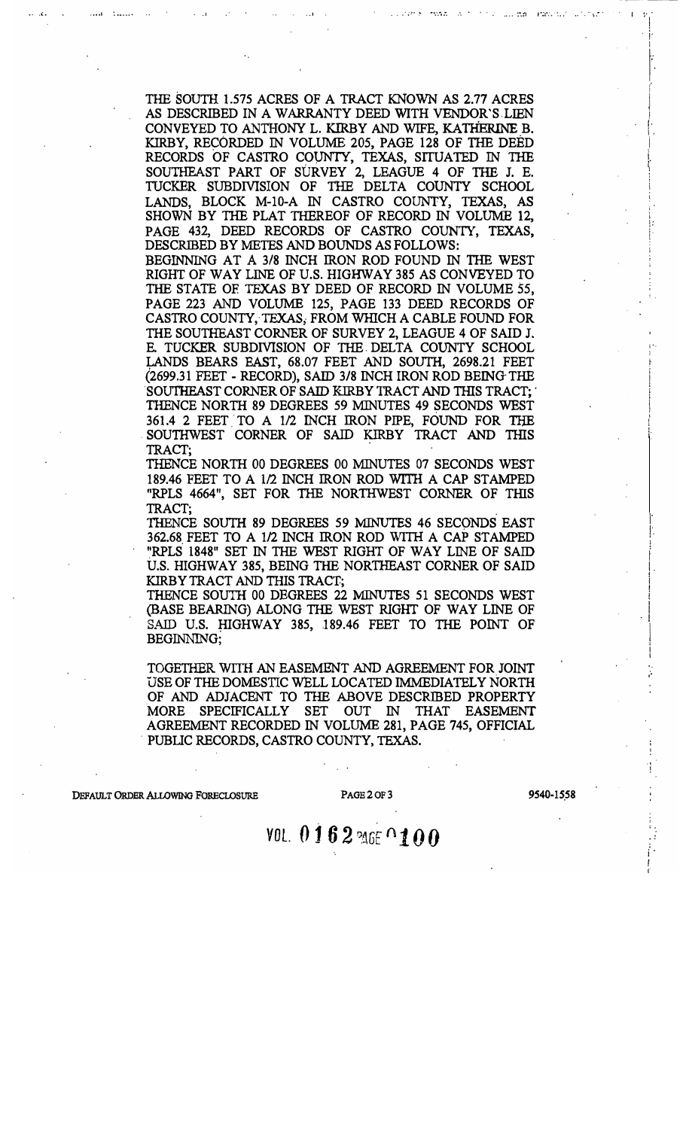THE SOUTH 1.575 ACRES OF A TRACT KNOWN AS 2.77 ACRES AS DESCRIBED IN A WARRANTY DEED WITH VENDOR'S LIEN CONVEYED TO ANTHONY L. KIRBY AND WIFE, KATHERINE B. KIRBY, RECORDED IN VOLUME 205, PAGE 128 OF THE DEED RECORDS OF CASTRO COUNTY, TEXAS, SITUATED IN THE SOUTHEAST PART OF SURVEY 2, LEAGUE 4 OF THE J. E. TUCKER SUBDIVISION OF THE DELTA COUNTY SCHOOL LANDS, BLOCK M-10-A IN CASTRO COUNTY, TEXAS, AS SHOWN BY THE PLAT THEREOF OF RECORD IN VOLUME 12, PAGE 432, DEED RECORDS OF CASTRO COUNTY, TEXAS, DESCRIBED BY METES AND BOUNDS AS FOLLOWS:

BEGINNING AT A 3/8 INCH IRON ROD FOUND IN THE WEST RIGHT OF WAY LINE OF U.S. HIGHWAY 385 AS CONVEYED TO THE STATE OF TEXAS BY DEED OF RECORD IN VOLUME 55, PAGE 223 AND VOLUME 125, PAGE 133 DEED RECORDS OF CASTRO COUNTY, TEXAS, FROM WHICH A CABLE FOUND FOR THE SOUTHEAST CORNER OF SURVEY 2, LEAGUE 4 OF SAID J. E. TUCKER SUBDIVISION OF THE DELTA COUNTY SCHOOL LANDS BEARS EAST, 68.07 FEET AND SOUTH, 2698.21 FEET (2699.31 FEET - RECORD), SAID 3/8 INCH IRON ROD BEING THE SOUTHEAST CORNER OF SAID KIRBY TRACT AND THIS TRACT; THENCE NORTH 89 DEGREES 59 MINUTES 49 SECONDS WEST 361.4 2 FEET TO A 1/2 INCH IRON PIPE, FOUND FOR THE SOUTHWEST CORNER OF SAID KIRBY TRACT AND THIS TRACT;

THENCE NORTH 00 DEGREES 00 MINUTES 07 SECONDS WEST 189.46 FEET TO A 1/2 INCH IRON ROD WITH A CAP STAMPED "RPLS 4664", SET FOR THE NORTHWEST CORNER OF THIS TRACT:

THENCE SOUTH 89 DEGREES 59 MINUTES 46 SECONDS EAST 362.68 FEET TO A 1/2 INCH IRON ROD WITH A CAP STAMPED "RPLS 1848" SET IN THE WEST RIGHT OF WAY LINE OF SAID U.S. HIGHWAY 385, BEING THE NORTHEAST CORNER OF SAID KIRBY TRACT AND THIS TRACT;

THENCE SOUTH 00 DEGREES 22 MINUTES 51 SECONDS WEST (BASE BEARING) ALONG THE WEST RIGHT OF WAY LINE OF SAID U.S. HIGHWAY 385, 189.46 FEET TO THE POINT OF BEGINNING;

TOGETHER WITH AN EASEMENT AND AGREEMENT FOR JOINT USE OF THE DOMESTIC WELL LOCATED IMMEDIATELY NORTH OF AND ADJACENT TO THE ABOVE DESCRIBED PROPERTY MORE SPECIFICALLY SET OUT IN THAT EASEMENT AGREEMENT RECORDED IN VOLUME 281, PAGE 745, OFFICIAL PUBLIC RECORDS, CASTRO COUNTY, TEXAS.

DEFAULT ORDER ALLOWING FORECLOSURE

PAGE 2 OF 3

9540-1558

# VOL. 0162 MGE 0100